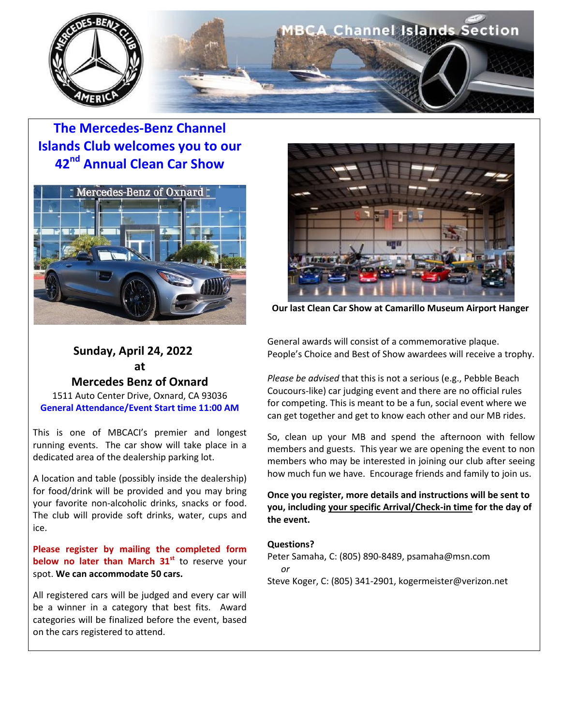

**The Mercedes-Benz Channel Islands Club welcomes you to our 42nd Annual Clean Car Show**



## **Sunday, April 24, 2022 at**

**Mercedes Benz of Oxnard**

1511 Auto Center Drive, Oxnard, CA 93036 **General Attendance/Event Start time 11:00 AM**

This is one of MBCACI's premier and longest running events. The car show will take place in a dedicated area of the dealership parking lot.

A location and table (possibly inside the dealership) for food/drink will be provided and you may bring your favorite non-alcoholic drinks, snacks or food. The club will provide soft drinks, water, cups and ice.

**Please register by mailing the completed form below no later than March 31<sup>st</sup>** to reserve your spot. **We can accommodate 50 cars.**

All registered cars will be judged and every car will be a winner in a category that best fits. Award categories will be finalized before the event, based on the cars registered to attend.



 **Our last Clean Car Show at Camarillo Museum Airport Hanger**

General awards will consist of a commemorative plaque. People's Choice and Best of Show awardees will receive a trophy.

*Please be advised* that this is not a serious (e.g., Pebble Beach Coucours-like) car judging event and there are no official rules for competing. This is meant to be a fun, social event where we can get together and get to know each other and our MB rides.

So, clean up your MB and spend the afternoon with fellow members and guests. This year we are opening the event to non members who may be interested in joining our club after seeing how much fun we have. Encourage friends and family to join us.

**Once you register, more details and instructions will be sent to you, including your specific Arrival/Check-in time for the day of the event.** 

#### **Questions?**

Peter Samaha, C: (805) 890-8489, psamaha@msn.com  *or*

Steve Koger, C: (805) 341-2901, kogermeister@verizon.net